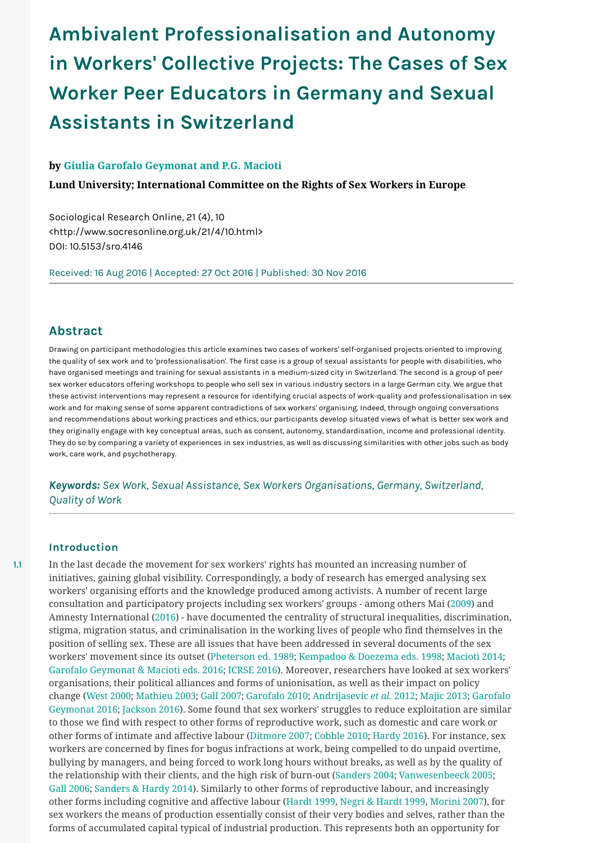# **Ambivalent Professionalisation and Autonomy in Workers' Collective Projects: The Cases of Sex Worker Peer Educators in Germany and Sexual Assistants in Switzerland**

#### **by [Giulia Garofalo Geymonat and P.G. Macioti](http://www.socresonline.org.uk/21/4/10/garofalo_geymonat.html)**

**Lund University; International Committee on the Rights of Sex Workers in Europe**

Sociological Research Online, 21 (4), 10 <http://www.socresonline.org.uk/21/4/10.html> DOI: 10.5153/sro.4146

Received: 16 Aug 2016 | Accepted: 27 Oct 2016 | Published: 30 Nov 2016

#### **Abstract**

Drawing on participant methodologies this article examines two cases of workers' self-organised projects oriented to improving the quality of sex work and to 'professionalisation'. The first case is a group of sexual assistants for people with disabilities, who have organised meetings and training for sexual assistants in a medium-sized city in Switzerland. The second is a group of peer sex worker educators offering workshops to people who sell sex in various industry sectors in a large German city. We argue that these activist interventions may represent a resource for identifying crucial aspects of work-quality and professionalisation in sex work and for making sense of some apparent contradictions of sex workers' organising. Indeed, through ongoing conversations and recommendations about working practices and ethics, our participants develop situated views of what is better sex work and they originally engage with key conceptual areas, such as consent, autonomy, standardisation, income and professional identity. They do so by comparing a variety of experiences in sex industries, as well as discussing similarities with other jobs such as body work, care work, and psychotherapy.

*Keywords: Sex Work, Sexual Assistance, Sex Workers Organisations, Germany, Switzerland, Quality of Work*

#### **Introduction**

**1.1**

In the last decade the movement for sex workers' rights has mounted an increasing number of initiatives, gaining global visibility. Correspondingly, a body of research has emerged analysing sex workers' organising efforts and the knowledge produced among activists. A number of recent large consultation and participatory projects including sex workers' groups - among others Mai ([2009\)](http://www.socresonline.org.uk/21/4/10.html#mai2009) and Amnesty International [\(2016](http://www.socresonline.org.uk/21/4/10.html#amnesty%20international2016)) - have documented the centrality of structural inequalities, discrimination, stigma, migration status, and criminalisation in the working lives of people who find themselves in the position of selling sex. These are all issues that have been addressed in several documents of the sex workers' movement since its outset ([Pheterson ed. 1989;](http://www.socresonline.org.uk/21/4/10.html#pheterson1989) [Kempadoo & Doezema eds. 1998;](http://www.socresonline.org.uk/21/4/10.html#kempadoo1998) [Macioti 2014;](http://www.socresonline.org.uk/21/4/10.html#macioti2014) [Garofalo Geymonat & Macioti eds. 2016](http://www.socresonline.org.uk/21/4/10.html#garofalo2016); [ICRSE 2016](http://www.socresonline.org.uk/21/4/10.html#icrse2016)). Moreover, researchers have looked at sex workers' organisations, their political alliances and forms of unionisation, as well as their impact on policy change [\(West 2000](http://www.socresonline.org.uk/21/4/10.html#west2000); [Mathieu 2003](http://www.socresonline.org.uk/21/4/10.html#mathieu2003); [Gall 2007;](http://www.socresonline.org.uk/21/4/10.html#gall2007) [Garofalo 2010;](http://www.socresonline.org.uk/21/4/10.html#garofalo2010) [Andrijasevic](http://www.socresonline.org.uk/21/4/10.html#andrijasevic2012) *et al.* 2012; [Majic 2013;](http://www.socresonline.org.uk/21/4/10.html#majic2013) Garofalo [Geymonat 2016; Jackson 2016\). Some found that sex workers' struggles to reduce exploitation are similar](http://www.socresonline.org.uk/21/4/10.html#garofalo2016) to those we find with respect to other forms of reproductive work, such as domestic and care work or other forms of intimate and affective labour ([Ditmore 2007;](http://www.socresonline.org.uk/21/4/10.html#ditmore2007) [Cobble 2010](http://www.socresonline.org.uk/21/4/10.html#cobble2010); [Hardy 2016](http://www.socresonline.org.uk/21/4/10.html#hardy2016)). For instance, sex workers are concerned by fines for bogus infractions at work, being compelled to do unpaid overtime, bullying by managers, and being forced to work long hours without breaks, as well as by the quality of the relationship with their clients, and the high risk of burn-out [\(Sanders 2004](http://www.socresonline.org.uk/21/4/10.html#sanders2004); [Vanwesenbeeck 2005;](http://www.socresonline.org.uk/21/4/10.html#vanwesenbeeck2005) [Gall 2006;](http://www.socresonline.org.uk/21/4/10.html#gall2006) [Sanders & Hardy 2014](http://www.socresonline.org.uk/21/4/10.html#sanders2014)). Similarly to other forms of reproductive labour, and increasingly other forms including cognitive and affective labour ([Hardt 1999](http://www.socresonline.org.uk/21/4/10.html#hardt1999), [Negri & Hardt 1999](http://www.socresonline.org.uk/21/4/10.html#negri1999), [Morini 2007\)](http://www.socresonline.org.uk/21/4/10.html#morini2007), for sex workers the means of production essentially consist of their very bodies and selves, rather than the forms of accumulated capital typical of industrial production. This represents both an opportunity for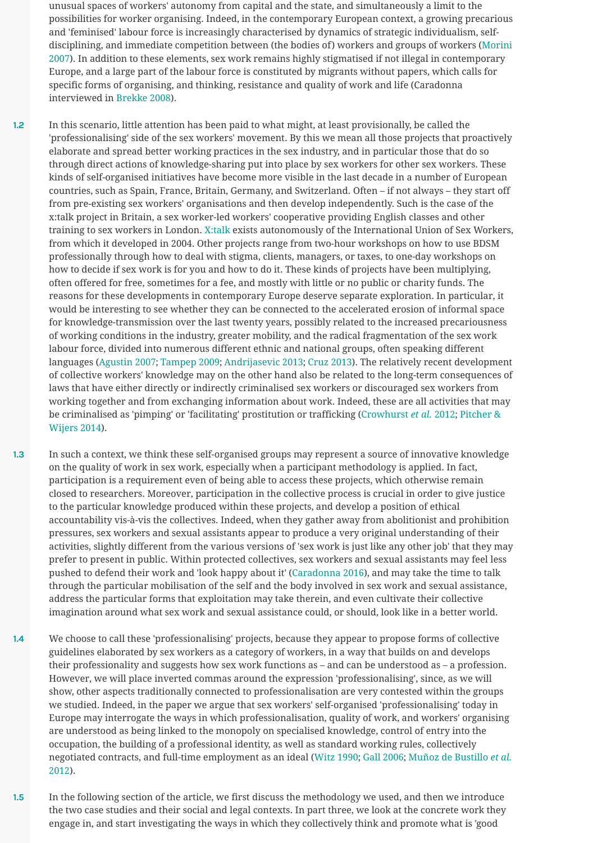unusual spaces of workers' autonomy from capital and the state, and simultaneously a limit to the possibilities for worker organising. Indeed, in the contemporary European context, a growing precarious and 'feminised' labour force is increasingly characterised by dynamics of strategic individualism, self[disciplining, and immediate competition between \(the bodies of\) workers and groups of workers \(Morini](http://www.socresonline.org.uk/21/4/10.html#morini2007) 2007). In addition to these elements, sex work remains highly stigmatised if not illegal in contemporary Europe, and a large part of the labour force is constituted by migrants without papers, which calls for specific forms of organising, and thinking, resistance and quality of work and life (Caradonna interviewed in [Brekke 2008](http://www.socresonline.org.uk/21/4/10.html#brekke2008)).

- **1.2** In this scenario, little attention has been paid to what might, at least provisionally, be called the 'professionalising' side of the sex workers' movement. By this we mean all those projects that proactively elaborate and spread better working practices in the sex industry, and in particular those that do so through direct actions of knowledge-sharing put into place by sex workers for other sex workers. These kinds of self-organised initiatives have become more visible in the last decade in a number of European countries, such as Spain, France, Britain, Germany, and Switzerland. Often – if not always – they start off from pre-existing sex workers' organisations and then develop independently. Such is the case of the x:talk project in Britain, a sex worker-led workers' cooperative providing English classes and other training to sex workers in London. [X:talk](http://www.xtalkproject.net/) exists autonomously of the International Union of Sex Workers, from which it developed in 2004. Other projects range from two-hour workshops on how to use BDSM professionally through how to deal with stigma, clients, managers, or taxes, to one-day workshops on how to decide if sex work is for you and how to do it. These kinds of projects have been multiplying, often offered for free, sometimes for a fee, and mostly with little or no public or charity funds. The reasons for these developments in contemporary Europe deserve separate exploration. In particular, it would be interesting to see whether they can be connected to the accelerated erosion of informal space for knowledge-transmission over the last twenty years, possibly related to the increased precariousness of working conditions in the industry, greater mobility, and the radical fragmentation of the sex work labour force, divided into numerous different ethnic and national groups, often speaking different languages ([Agustin 2007](http://www.socresonline.org.uk/21/4/10.html#agustin2007); [Tampep 2009;](http://www.socresonline.org.uk/21/4/10.html#tampep2009) [Andrijasevic 2013;](http://www.socresonline.org.uk/21/4/10.html#andrijasevic2013) [Cruz 2013](http://www.socresonline.org.uk/21/4/10.html#cruz2013)). The relatively recent development of collective workers' knowledge may on the other hand also be related to the long-term consequences of laws that have either directly or indirectly criminalised sex workers or discouraged sex workers from working together and from exchanging information about work. Indeed, these are all activities that may [be criminalised as 'pimping' or 'facilitating' prostitution or trafficking \(C](http://www.socresonline.org.uk/21/4/10.html#pitcher2014)[rowhurst](http://www.socresonline.org.uk/21/4/10.html#crowhurst2012) *et al.* 2012; Pitcher & Wijers 2014).
- **1.3** In such a context, we think these self-organised groups may represent a source of innovative knowledge on the quality of work in sex work, especially when a participant methodology is applied. In fact, participation is a requirement even of being able to access these projects, which otherwise remain closed to researchers. Moreover, participation in the collective process is crucial in order to give justice to the particular knowledge produced within these projects, and develop a position of ethical accountability vis-à-vis the collectives. Indeed, when they gather away from abolitionist and prohibition pressures, sex workers and sexual assistants appear to produce a very original understanding of their activities, slightly different from the various versions of 'sex work is just like any other job' that they may prefer to present in public. Within protected collectives, sex workers and sexual assistants may feel less pushed to defend their work and 'look happy about it' [\(Caradonna 2016](http://www.socresonline.org.uk/21/4/10.html#caradonna2016)), and may take the time to talk through the particular mobilisation of the self and the body involved in sex work and sexual assistance, address the particular forms that exploitation may take therein, and even cultivate their collective imagination around what sex work and sexual assistance could, or should, look like in a better world.
- **1.4** We choose to call these 'professionalising' projects, because they appear to propose forms of collective guidelines elaborated by sex workers as a category of workers, in a way that builds on and develops their professionality and suggests how sex work functions as – and can be understood as – a profession. However, we will place inverted commas around the expression 'professionalising', since, as we will show, other aspects traditionally connected to professionalisation are very contested within the groups we studied. Indeed, in the paper we argue that sex workers' self-organised 'professionalising' today in Europe may interrogate the ways in which professionalisation, quality of work, and workers' organising are understood as being linked to the monopoly on specialised knowledge, control of entry into the occupation, the building of a professional identity, as well as standard working rules, collectively [negotiated contracts, and full-time employment as an ideal \(W](http://www.socresonline.org.uk/21/4/10.html#mu?oz2012)[itz 1990](http://www.socresonline.org.uk/21/4/10.html#witz1990)[; G](http://www.socresonline.org.uk/21/4/10.html#mu?oz2012)[all 200](http://www.socresonline.org.uk/21/4/10.html#gall2006)[6; Muñoz de Bustillo](http://www.socresonline.org.uk/21/4/10.html#mu?oz2012) *et al.* 2012).
- **1.5** In the following section of the article, we first discuss the methodology we used, and then we introduce the two case studies and their social and legal contexts. In part three, we look at the concrete work they engage in, and start investigating the ways in which they collectively think and promote what is 'good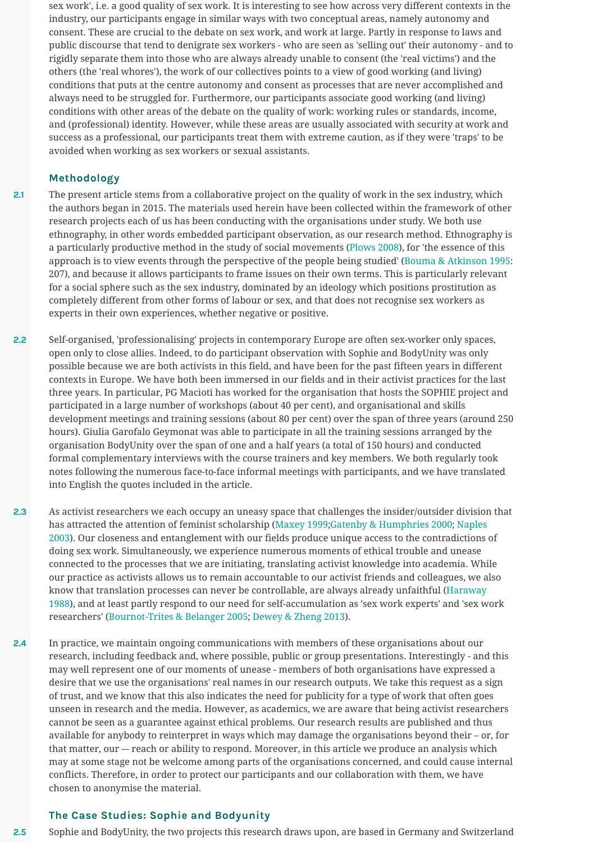sex work', i.e. a good quality of sex work. It is interesting to see how across very different contexts in the industry, our participants engage in similar ways with two conceptual areas, namely autonomy and consent. These are crucial to the debate on sex work, and work at large. Partly in response to laws and public discourse that tend to denigrate sex workers - who are seen as 'selling out' their autonomy - and to rigidly separate them into those who are always already unable to consent (the 'real victims') and the others (the 'real whores'), the work of our collectives points to a view of good working (and living) conditions that puts at the centre autonomy and consent as processes that are never accomplished and always need to be struggled for. Furthermore, our participants associate good working (and living) conditions with other areas of the debate on the quality of work: working rules or standards, income, and (professional) identity. However, while these areas are usually associated with security at work and success as a professional, our participants treat them with extreme caution, as if they were 'traps' to be avoided when working as sex workers or sexual assistants.

## **Methodology**

- **2.1** The present article stems from a collaborative project on the quality of work in the sex industry, which the authors began in 2015. The materials used herein have been collected within the framework of other research projects each of us has been conducting with the organisations under study. We both use ethnography, in other words embedded participant observation, as our research method. Ethnography is a particularly productive method in the study of social movements [\(Plows 2008](http://www.socresonline.org.uk/21/4/10.html#plows2008)), for 'the essence of this approach is to view events through the perspective of the people being studied' [\(Bouma & Atkinson 1995](http://www.socresonline.org.uk/21/4/10.html#bouma1995): 207), and because it allows participants to frame issues on their own terms. This is particularly relevant for a social sphere such as the sex industry, dominated by an ideology which positions prostitution as completely different from other forms of labour or sex, and that does not recognise sex workers as experts in their own experiences, whether negative or positive.
- **2.2** Self-organised, 'professionalising' projects in contemporary Europe are often sex-worker only spaces, open only to close allies. Indeed, to do participant observation with Sophie and BodyUnity was only possible because we are both activists in this field, and have been for the past fifteen years in different contexts in Europe. We have both been immersed in our fields and in their activist practices for the last three years. In particular, PG Macioti has worked for the organisation that hosts the SOPHIE project and participated in a large number of workshops (about 40 per cent), and organisational and skills development meetings and training sessions (about 80 per cent) over the span of three years (around 250 hours). Giulia Garofalo Geymonat was able to participate in all the training sessions arranged by the organisation BodyUnity over the span of one and a half years (a total of 150 hours) and conducted formal complementary interviews with the course trainers and key members. We both regularly took notes following the numerous face-to-face informal meetings with participants, and we have translated into English the quotes included in the article.
- **2.3** As activist researchers we each occupy an uneasy space that challenges the insider/outsider division that [has attracted the attention of feminist scholarship \(](http://www.socresonline.org.uk/21/4/10.html#naples2003)[Maxey 1999](http://www.socresonline.org.uk/21/4/10.html#maxey1999)[;G](http://www.socresonline.org.uk/21/4/10.html#naples2003)[atenby & Humphries 200](http://www.socresonline.org.uk/21/4/10.html#gatenby2000)[0; Naples](http://www.socresonline.org.uk/21/4/10.html#naples2003) 2003). Our closeness and entanglement with our fields produce unique access to the contradictions of doing sex work. Simultaneously, we experience numerous moments of ethical trouble and unease connected to the processes that we are initiating, translating activist knowledge into academia. While our practice as activists allows us to remain accountable to our activist friends and colleagues, we also know that translation processes can never be controllable, are always already unfaithful (Haraway [1988\), and at least partly respond to our need for self-accumulation as 'sex work experts' and 'sex w](http://www.socresonline.org.uk/21/4/10.html#haraway1988)ork researchers' ([Bournot-Trites & Belanger 2005](http://www.socresonline.org.uk/21/4/10.html#bournot-trites2005); [Dewey & Zheng 2013](http://www.socresonline.org.uk/21/4/10.html#dewey2013)).
- **2.4** In practice, we maintain ongoing communications with members of these organisations about our research, including feedback and, where possible, public or group presentations. Interestingly - and this may well represent one of our moments of unease - members of both organisations have expressed a desire that we use the organisations' real names in our research outputs. We take this request as a sign of trust, and we know that this also indicates the need for publicity for a type of work that often goes unseen in research and the media. However, as academics, we are aware that being activist researchers cannot be seen as a guarantee against ethical problems. Our research results are published and thus available for anybody to reinterpret in ways which may damage the organisations beyond their – or, for that matter, our -- reach or ability to respond. Moreover, in this article we produce an analysis which may at some stage not be welcome among parts of the organisations concerned, and could cause internal conflicts. Therefore, in order to protect our participants and our collaboration with them, we have chosen to anonymise the material.

#### **The Case Studies: Sophie and Bodyunity**

**2.5** Sophie and BodyUnity, the two projects this research draws upon, are based in Germany and Switzerland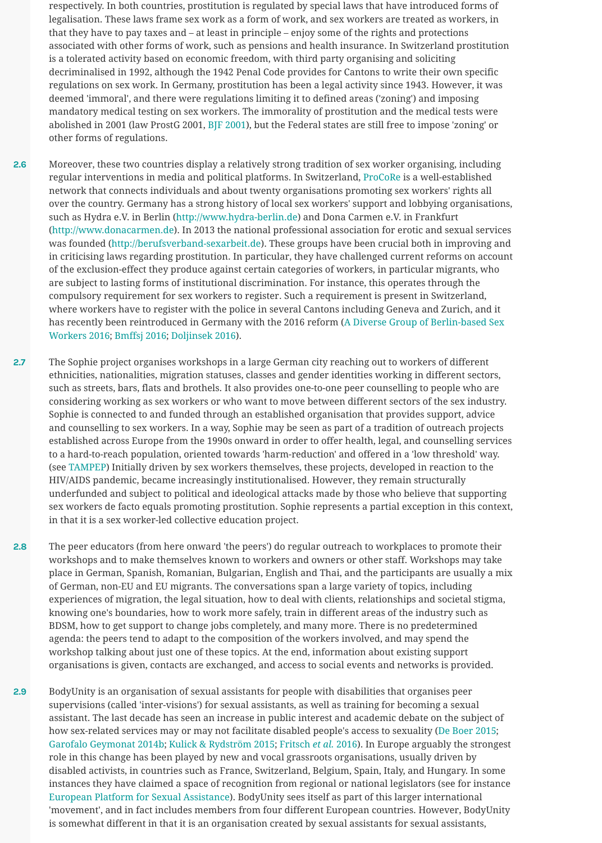respectively. In both countries, prostitution is regulated by special laws that have introduced forms of legalisation. These laws frame sex work as a form of work, and sex workers are treated as workers, in that they have to pay taxes and – at least in principle – enjoy some of the rights and protections associated with other forms of work, such as pensions and health insurance. In Switzerland prostitution is a tolerated activity based on economic freedom, with third party organising and soliciting decriminalised in 1992, although the 1942 Penal Code provides for Cantons to write their own specific regulations on sex work. In Germany, prostitution has been a legal activity since 1943. However, it was deemed 'immoral', and there were regulations limiting it to defined areas ('zoning') and imposing mandatory medical testing on sex workers. The immorality of prostitution and the medical tests were abolished in 2001 (law ProstG 2001, [BJF 2001\)](http://www.socresonline.org.uk/21/4/10.html#bjf2001), but the Federal states are still free to impose 'zoning' or other forms of regulations.

- **2.6** Moreover, these two countries display a relatively strong tradition of sex worker organising, including regular interventions in media and political platforms. In Switzerland, [ProCoRe](http://www.sexwork.ch/) is a well-established network that connects individuals and about twenty organisations promoting sex workers' rights all over the country. Germany has a strong history of local sex workers' support and lobbying organisations, such as Hydra e.V. in Berlin ([http://www.hydra-berlin.de](http://www.hydra-berlin.de/)) and Dona Carmen e.V. in Frankfurt [\(http://www.donacarmen.de\)](http://www.donacarmen.de/). In 2013 the national professional association for erotic and sexual services was founded [\(http://berufsverband-sexarbeit.de\)](http://berufsverband-sexarbeit.de/). These groups have been crucial both in improving and in criticising laws regarding prostitution. In particular, they have challenged current reforms on account of the exclusion-effect they produce against certain categories of workers, in particular migrants, who are subject to lasting forms of institutional discrimination. For instance, this operates through the compulsory requirement for sex workers to register. Such a requirement is present in Switzerland, where workers have to register with the police in several Cantons including Geneva and Zurich, and it [has recently been reintroduced in Germany with the 2016 reform \(A Diverse Group of Berlin-based Sex](http://www.socresonline.org.uk/21/4/10.html#a2016) Workers 2016; [Bmffsj 2016](http://www.socresonline.org.uk/21/4/10.html#bmffsj2016); [Doljinsek 2016](http://www.socresonline.org.uk/21/4/10.html#doljinsek2016)).
- **2.7** The Sophie project organises workshops in a large German city reaching out to workers of different ethnicities, nationalities, migration statuses, classes and gender identities working in different sectors, such as streets, bars, flats and brothels. It also provides one-to-one peer counselling to people who are considering working as sex workers or who want to move between different sectors of the sex industry. Sophie is connected to and funded through an established organisation that provides support, advice and counselling to sex workers. In a way, Sophie may be seen as part of a tradition of outreach projects established across Europe from the 1990s onward in order to offer health, legal, and counselling services to a hard-to-reach population, oriented towards 'harm-reduction' and offered in a 'low threshold' way. (see [TAMPEP](http://www.tampep.eu/)) Initially driven by sex workers themselves, these projects, developed in reaction to the HIV/AIDS pandemic, became increasingly institutionalised. However, they remain structurally underfunded and subject to political and ideological attacks made by those who believe that supporting sex workers de facto equals promoting prostitution. Sophie represents a partial exception in this context, in that it is a sex worker-led collective education project.
- **2.8** The peer educators (from here onward 'the peers') do regular outreach to workplaces to promote their workshops and to make themselves known to workers and owners or other staff. Workshops may take place in German, Spanish, Romanian, Bulgarian, English and Thai, and the participants are usually a mix of German, non-EU and EU migrants. The conversations span a large variety of topics, including experiences of migration, the legal situation, how to deal with clients, relationships and societal stigma, knowing one's boundaries, how to work more safely, train in different areas of the industry such as BDSM, how to get support to change jobs completely, and many more. There is no predetermined agenda: the peers tend to adapt to the composition of the workers involved, and may spend the workshop talking about just one of these topics. At the end, information about existing support organisations is given, contacts are exchanged, and access to social events and networks is provided.
- **2.9** BodyUnity is an organisation of sexual assistants for people with disabilities that organises peer supervisions (called 'inter-visions') for sexual assistants, as well as training for becoming a sexual assistant. The last decade has seen an increase in public interest and academic debate on the subject of how sex-related services may or may not facilitate disabled people's access to sexuality ([De Boer 2015](http://www.socresonline.org.uk/21/4/10.html#de2015); [Garofalo Geymonat 2014b](http://www.socresonline.org.uk/21/4/10.html#garofalo2014b); [Kulick & Rydström 2015;](http://www.socresonline.org.uk/21/4/10.html#kulick2015) [Fritsch](http://www.socresonline.org.uk/21/4/10.html#fritsch2016) *et al.* 2016). In Europe arguably the strongest role in this change has been played by new and vocal grassroots organisations, usually driven by disabled activists, in countries such as France, Switzerland, Belgium, Spain, Italy, and Hungary. In some instances they have claimed a space of recognition from regional or national legislators (see for instance [European Platform for Sexual Assistance\)](http://www.epseas.eu/). BodyUnity sees itself as part of this larger international 'movement', and in fact includes members from four different European countries. However, BodyUnity is somewhat different in that it is an organisation created by sexual assistants for sexual assistants,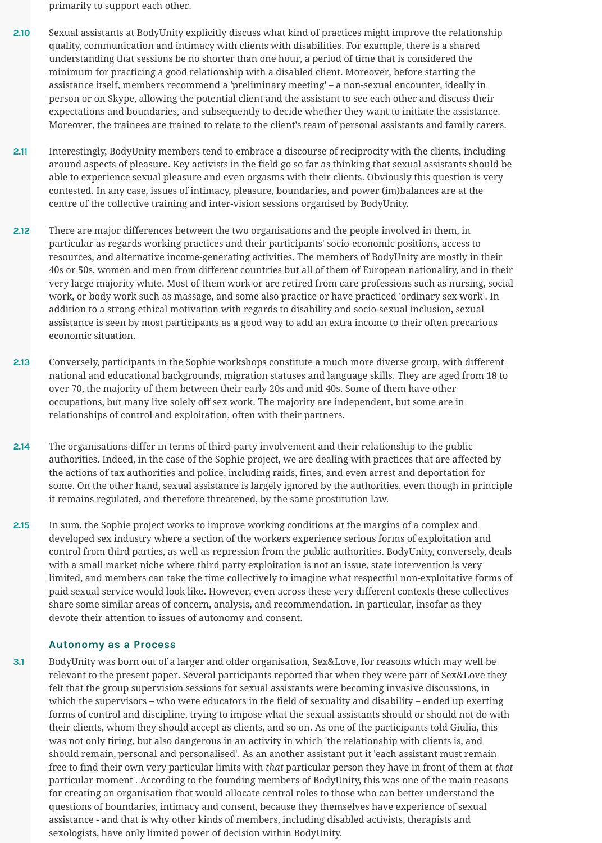primarily to support each other.

- **2.10** Sexual assistants at BodyUnity explicitly discuss what kind of practices might improve the relationship quality, communication and intimacy with clients with disabilities. For example, there is a shared understanding that sessions be no shorter than one hour, a period of time that is considered the minimum for practicing a good relationship with a disabled client. Moreover, before starting the assistance itself, members recommend a 'preliminary meeting' – a non-sexual encounter, ideally in person or on Skype, allowing the potential client and the assistant to see each other and discuss their expectations and boundaries, and subsequently to decide whether they want to initiate the assistance. Moreover, the trainees are trained to relate to the client's team of personal assistants and family carers.
- **2.11** Interestingly, BodyUnity members tend to embrace a discourse of reciprocity with the clients, including around aspects of pleasure. Key activists in the field go so far as thinking that sexual assistants should be able to experience sexual pleasure and even orgasms with their clients. Obviously this question is very contested. In any case, issues of intimacy, pleasure, boundaries, and power (im)balances are at the centre of the collective training and inter-vision sessions organised by BodyUnity.
- **2.12** There are major differences between the two organisations and the people involved in them, in particular as regards working practices and their participants' socio-economic positions, access to resources, and alternative income-generating activities. The members of BodyUnity are mostly in their 40s or 50s, women and men from different countries but all of them of European nationality, and in their very large majority white. Most of them work or are retired from care professions such as nursing, social work, or body work such as massage, and some also practice or have practiced 'ordinary sex work'. In addition to a strong ethical motivation with regards to disability and socio-sexual inclusion, sexual assistance is seen by most participants as a good way to add an extra income to their often precarious economic situation.
- **2.13** Conversely, participants in the Sophie workshops constitute a much more diverse group, with different national and educational backgrounds, migration statuses and language skills. They are aged from 18 to over 70, the majority of them between their early 20s and mid 40s. Some of them have other occupations, but many live solely off sex work. The majority are independent, but some are in relationships of control and exploitation, often with their partners.
- **2.14** The organisations differ in terms of third-party involvement and their relationship to the public authorities. Indeed, in the case of the Sophie project, we are dealing with practices that are affected by the actions of tax authorities and police, including raids, fines, and even arrest and deportation for some. On the other hand, sexual assistance is largely ignored by the authorities, even though in principle it remains regulated, and therefore threatened, by the same prostitution law.
- **2.15** In sum, the Sophie project works to improve working conditions at the margins of a complex and developed sex industry where a section of the workers experience serious forms of exploitation and control from third parties, as well as repression from the public authorities. BodyUnity, conversely, deals with a small market niche where third party exploitation is not an issue, state intervention is very limited, and members can take the time collectively to imagine what respectful non-exploitative forms of paid sexual service would look like. However, even across these very different contexts these collectives share some similar areas of concern, analysis, and recommendation. In particular, insofar as they devote their attention to issues of autonomy and consent.

## **Autonomy as a Process**

**3.1** BodyUnity was born out of a larger and older organisation, Sex&Love, for reasons which may well be relevant to the present paper. Several participants reported that when they were part of Sex&Love they felt that the group supervision sessions for sexual assistants were becoming invasive discussions, in which the supervisors – who were educators in the field of sexuality and disability – ended up exerting forms of control and discipline, trying to impose what the sexual assistants should or should not do with their clients, whom they should accept as clients, and so on. As one of the participants told Giulia, this was not only tiring, but also dangerous in an activity in which 'the relationship with clients is, and should remain, personal and personalised'. As an another assistant put it 'each assistant must remain free to find their own very particular limits with *that* particular person they have in front of them at *that* particular moment'. According to the founding members of BodyUnity, this was one of the main reasons for creating an organisation that would allocate central roles to those who can better understand the questions of boundaries, intimacy and consent, because they themselves have experience of sexual assistance - and that is why other kinds of members, including disabled activists, therapists and sexologists, have only limited power of decision within BodyUnity.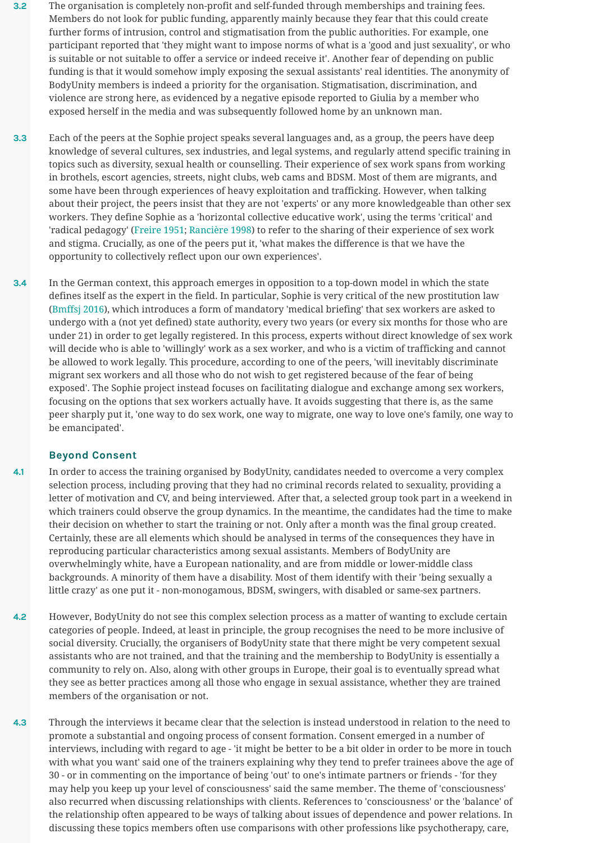- **3.2** The organisation is completely non-profit and self-funded through memberships and training fees. Members do not look for public funding, apparently mainly because they fear that this could create further forms of intrusion, control and stigmatisation from the public authorities. For example, one participant reported that 'they might want to impose norms of what is a 'good and just sexuality', or who is suitable or not suitable to offer a service or indeed receive it'. Another fear of depending on public funding is that it would somehow imply exposing the sexual assistants' real identities. The anonymity of BodyUnity members is indeed a priority for the organisation. Stigmatisation, discrimination, and violence are strong here, as evidenced by a negative episode reported to Giulia by a member who exposed herself in the media and was subsequently followed home by an unknown man.
- **3.3** Each of the peers at the Sophie project speaks several languages and, as a group, the peers have deep knowledge of several cultures, sex industries, and legal systems, and regularly attend specific training in topics such as diversity, sexual health or counselling. Their experience of sex work spans from working in brothels, escort agencies, streets, night clubs, web cams and BDSM. Most of them are migrants, and some have been through experiences of heavy exploitation and trafficking. However, when talking about their project, the peers insist that they are not 'experts' or any more knowledgeable than other sex workers. They define Sophie as a 'horizontal collective educative work', using the terms 'critical' and 'radical pedagogy' [\(Freire 1951](http://www.socresonline.org.uk/21/4/10.html#freire1951); [Rancière 1998\)](http://www.socresonline.org.uk/21/4/10.html#ranciere1998) to refer to the sharing of their experience of sex work and stigma. Crucially, as one of the peers put it, 'what makes the difference is that we have the opportunity to collectively reflect upon our own experiences'.
- **3.4** In the German context, this approach emerges in opposition to a top-down model in which the state defines itself as the expert in the field. In particular, Sophie is very critical of the new prostitution law [\(Bmffsj 2016](http://www.socresonline.org.uk/21/4/10.html#bmffsj2016)), which introduces a form of mandatory 'medical briefing' that sex workers are asked to undergo with a (not yet defined) state authority, every two years (or every six months for those who are under 21) in order to get legally registered. In this process, experts without direct knowledge of sex work will decide who is able to 'willingly' work as a sex worker, and who is a victim of trafficking and cannot be allowed to work legally. This procedure, according to one of the peers, 'will inevitably discriminate migrant sex workers and all those who do not wish to get registered because of the fear of being exposed'. The Sophie project instead focuses on facilitating dialogue and exchange among sex workers, focusing on the options that sex workers actually have. It avoids suggesting that there is, as the same peer sharply put it, 'one way to do sex work, one way to migrate, one way to love one's family, one way to be emancipated'.

## **Beyond Consent**

- **4.1** In order to access the training organised by BodyUnity, candidates needed to overcome a very complex selection process, including proving that they had no criminal records related to sexuality, providing a letter of motivation and CV, and being interviewed. After that, a selected group took part in a weekend in which trainers could observe the group dynamics. In the meantime, the candidates had the time to make their decision on whether to start the training or not. Only after a month was the final group created. Certainly, these are all elements which should be analysed in terms of the consequences they have in reproducing particular characteristics among sexual assistants. Members of BodyUnity are overwhelmingly white, have a European nationality, and are from middle or lower-middle class backgrounds. A minority of them have a disability. Most of them identify with their 'being sexually a little crazy' as one put it - non-monogamous, BDSM, swingers, with disabled or same-sex partners.
- **4.2** However, BodyUnity do not see this complex selection process as a matter of wanting to exclude certain categories of people. Indeed, at least in principle, the group recognises the need to be more inclusive of social diversity. Crucially, the organisers of BodyUnity state that there might be very competent sexual assistants who are not trained, and that the training and the membership to BodyUnity is essentially a community to rely on. Also, along with other groups in Europe, their goal is to eventually spread what they see as better practices among all those who engage in sexual assistance, whether they are trained members of the organisation or not.
- **4.3** Through the interviews it became clear that the selection is instead understood in relation to the need to promote a substantial and ongoing process of consent formation. Consent emerged in a number of interviews, including with regard to age - 'it might be better to be a bit older in order to be more in touch with what you want' said one of the trainers explaining why they tend to prefer trainees above the age of 30 - or in commenting on the importance of being 'out' to one's intimate partners or friends - 'for they may help you keep up your level of consciousness' said the same member. The theme of 'consciousness' also recurred when discussing relationships with clients. References to 'consciousness' or the 'balance' of the relationship often appeared to be ways of talking about issues of dependence and power relations. In discussing these topics members often use comparisons with other professions like psychotherapy, care,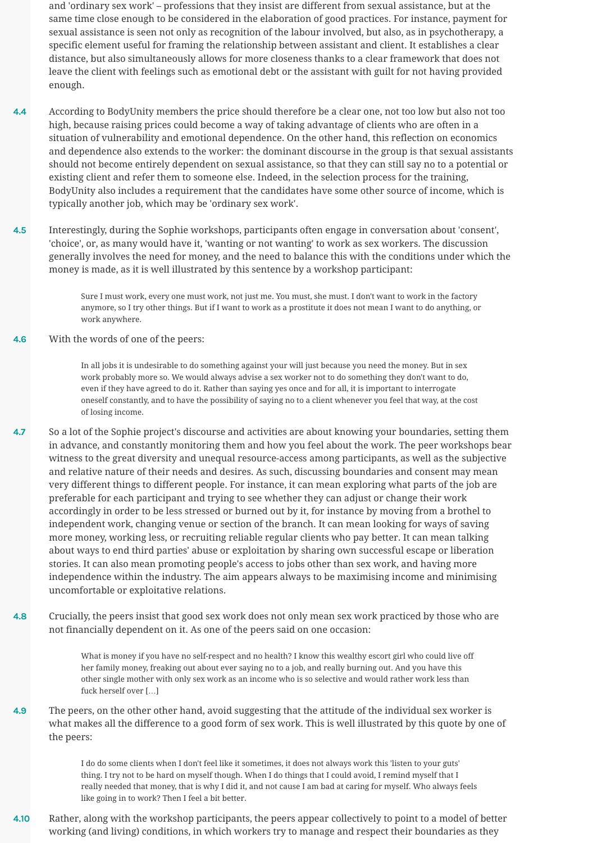and 'ordinary sex work' – professions that they insist are different from sexual assistance, but at the same time close enough to be considered in the elaboration of good practices. For instance, payment for sexual assistance is seen not only as recognition of the labour involved, but also, as in psychotherapy, a specific element useful for framing the relationship between assistant and client. It establishes a clear distance, but also simultaneously allows for more closeness thanks to a clear framework that does not leave the client with feelings such as emotional debt or the assistant with guilt for not having provided enough.

- **4.4** According to BodyUnity members the price should therefore be a clear one, not too low but also not too high, because raising prices could become a way of taking advantage of clients who are often in a situation of vulnerability and emotional dependence. On the other hand, this reflection on economics and dependence also extends to the worker: the dominant discourse in the group is that sexual assistants should not become entirely dependent on sexual assistance, so that they can still say no to a potential or existing client and refer them to someone else. Indeed, in the selection process for the training, BodyUnity also includes a requirement that the candidates have some other source of income, which is typically another job, which may be 'ordinary sex work'.
- **4.5** Interestingly, during the Sophie workshops, participants often engage in conversation about 'consent', 'choice', or, as many would have it, 'wanting or not wanting' to work as sex workers. The discussion generally involves the need for money, and the need to balance this with the conditions under which the money is made, as it is well illustrated by this sentence by a workshop participant:

Sure I must work, every one must work, not just me. You must, she must. I don't want to work in the factory anymore, so I try other things. But if I want to work as a prostitute it does not mean I want to do anything, or work anywhere.

**4.6** With the words of one of the peers:

> In all jobs it is undesirable to do something against your will just because you need the money. But in sex work probably more so. We would always advise a sex worker not to do something they don't want to do, even if they have agreed to do it. Rather than saying yes once and for all, it is important to interrogate oneself constantly, and to have the possibility of saying no to a client whenever you feel that way, at the cost of losing income.

- **4.7** So a lot of the Sophie project's discourse and activities are about knowing your boundaries, setting them in advance, and constantly monitoring them and how you feel about the work. The peer workshops bear witness to the great diversity and unequal resource-access among participants, as well as the subjective and relative nature of their needs and desires. As such, discussing boundaries and consent may mean very different things to different people. For instance, it can mean exploring what parts of the job are preferable for each participant and trying to see whether they can adjust or change their work accordingly in order to be less stressed or burned out by it, for instance by moving from a brothel to independent work, changing venue or section of the branch. It can mean looking for ways of saving more money, working less, or recruiting reliable regular clients who pay better. It can mean talking about ways to end third parties' abuse or exploitation by sharing own successful escape or liberation stories. It can also mean promoting people's access to jobs other than sex work, and having more independence within the industry. The aim appears always to be maximising income and minimising uncomfortable or exploitative relations.
- **4.8** Crucially, the peers insist that good sex work does not only mean sex work practiced by those who are not financially dependent on it. As one of the peers said on one occasion:

What is money if you have no self-respect and no health? I know this wealthy escort girl who could live off her family money, freaking out about ever saying no to a job, and really burning out. And you have this other single mother with only sex work as an income who is so selective and would rather work less than fuck herself over […]

**4.9** The peers, on the other other hand, avoid suggesting that the attitude of the individual sex worker is what makes all the difference to a good form of sex work. This is well illustrated by this quote by one of the peers:

> I do do some clients when I don't feel like it sometimes, it does not always work this 'listen to your guts' thing. I try not to be hard on myself though. When I do things that I could avoid, I remind myself that I really needed that money, that is why I did it, and not cause I am bad at caring for myself. Who always feels like going in to work? Then I feel a bit better.

**4.10** Rather, along with the workshop participants, the peers appear collectively to point to a model of better working (and living) conditions, in which workers try to manage and respect their boundaries as they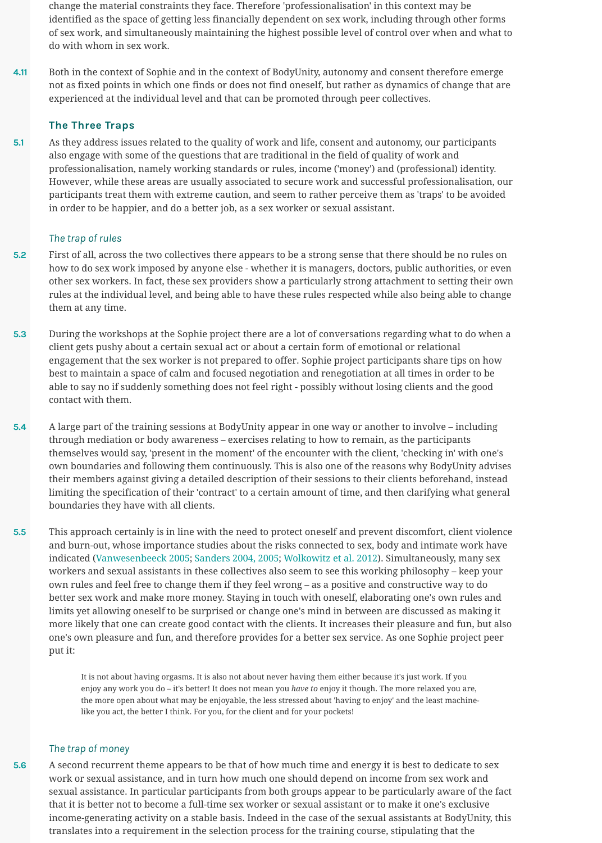change the material constraints they face. Therefore 'professionalisation' in this context may be identified as the space of getting less financially dependent on sex work, including through other forms of sex work, and simultaneously maintaining the highest possible level of control over when and what to do with whom in sex work.

**4.11** Both in the context of Sophie and in the context of BodyUnity, autonomy and consent therefore emerge not as fixed points in which one finds or does not find oneself, but rather as dynamics of change that are experienced at the individual level and that can be promoted through peer collectives.

### **The Three Traps**

**5.1** As they address issues related to the quality of work and life, consent and autonomy, our participants also engage with some of the questions that are traditional in the field of quality of work and professionalisation, namely working standards or rules, income ('money') and (professional) identity. However, while these areas are usually associated to secure work and successful professionalisation, our participants treat them with extreme caution, and seem to rather perceive them as 'traps' to be avoided in order to be happier, and do a better job, as a sex worker or sexual assistant.

#### *The trap of rules*

- **5.2** First of all, across the two collectives there appears to be a strong sense that there should be no rules on how to do sex work imposed by anyone else - whether it is managers, doctors, public authorities, or even other sex workers. In fact, these sex providers show a particularly strong attachment to setting their own rules at the individual level, and being able to have these rules respected while also being able to change them at any time.
- **5.3** During the workshops at the Sophie project there are a lot of conversations regarding what to do when a client gets pushy about a certain sexual act or about a certain form of emotional or relational engagement that the sex worker is not prepared to offer. Sophie project participants share tips on how best to maintain a space of calm and focused negotiation and renegotiation at all times in order to be able to say no if suddenly something does not feel right - possibly without losing clients and the good contact with them.
- **5.4** A large part of the training sessions at BodyUnity appear in one way or another to involve – including through mediation or body awareness – exercises relating to how to remain, as the participants themselves would say, 'present in the moment' of the encounter with the client, 'checking in' with one's own boundaries and following them continuously. This is also one of the reasons why BodyUnity advises their members against giving a detailed description of their sessions to their clients beforehand, instead limiting the specification of their 'contract' to a certain amount of time, and then clarifying what general boundaries they have with all clients.
- **5.5** This approach certainly is in line with the need to protect oneself and prevent discomfort, client violence and burn-out, whose importance studies about the risks connected to sex, body and intimate work have indicated ([Vanwesenbeeck 2005](http://www.socresonline.org.uk/21/4/10.html#vanwesenbeeck2005); [Sanders 2004, 2005](http://www.socresonline.org.uk/21/4/10.html#sanders2004); [Wolkowitz et al. 2012\)](http://www.socresonline.org.uk/21/4/10.html#wolkowitz2012). Simultaneously, many sex workers and sexual assistants in these collectives also seem to see this working philosophy – keep your own rules and feel free to change them if they feel wrong – as a positive and constructive way to do better sex work and make more money. Staying in touch with oneself, elaborating one's own rules and limits yet allowing oneself to be surprised or change one's mind in between are discussed as making it more likely that one can create good contact with the clients. It increases their pleasure and fun, but also one's own pleasure and fun, and therefore provides for a better sex service. As one Sophie project peer put it:

It is not about having orgasms. It is also not about never having them either because it's just work. If you enjoy any work you do – it's better! It does not mean you *have to* enjoy it though. The more relaxed you are, the more open about what may be enjoyable, the less stressed about 'having to enjoy' and the least machinelike you act, the better I think. For you, for the client and for your pockets!

#### *The trap of money*

**5.6** A second recurrent theme appears to be that of how much time and energy it is best to dedicate to sex work or sexual assistance, and in turn how much one should depend on income from sex work and sexual assistance. In particular participants from both groups appear to be particularly aware of the fact that it is better not to become a full-time sex worker or sexual assistant or to make it one's exclusive income-generating activity on a stable basis. Indeed in the case of the sexual assistants at BodyUnity, this translates into a requirement in the selection process for the training course, stipulating that the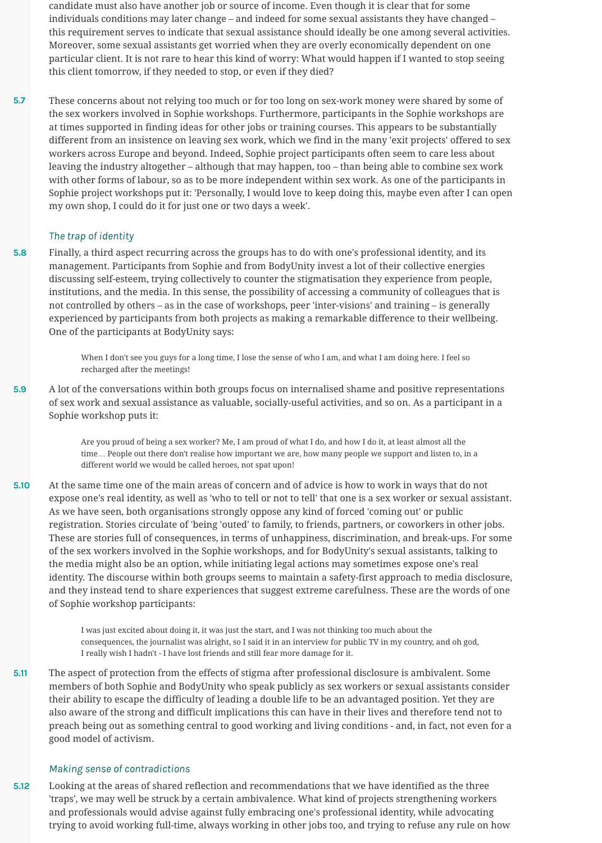candidate must also have another job or source of income. Even though it is clear that for some individuals conditions may later change – and indeed for some sexual assistants they have changed – this requirement serves to indicate that sexual assistance should ideally be one among several activities. Moreover, some sexual assistants get worried when they are overly economically dependent on one particular client. It is not rare to hear this kind of worry: What would happen if I wanted to stop seeing this client tomorrow, if they needed to stop, or even if they died?

**5.7** These concerns about not relying too much or for too long on sex-work money were shared by some of the sex workers involved in Sophie workshops. Furthermore, participants in the Sophie workshops are at times supported in finding ideas for other jobs or training courses. This appears to be substantially different from an insistence on leaving sex work, which we find in the many 'exit projects' offered to sex workers across Europe and beyond. Indeed, Sophie project participants often seem to care less about leaving the industry altogether – although that may happen, too – than being able to combine sex work with other forms of labour, so as to be more independent within sex work. As one of the participants in Sophie project workshops put it: 'Personally, I would love to keep doing this, maybe even after I can open my own shop, I could do it for just one or two days a week'.

## *The trap of identity*

**5.8** Finally, a third aspect recurring across the groups has to do with one's professional identity, and its management. Participants from Sophie and from BodyUnity invest a lot of their collective energies discussing self-esteem, trying collectively to counter the stigmatisation they experience from people, institutions, and the media. In this sense, the possibility of accessing a community of colleagues that is not controlled by others – as in the case of workshops, peer 'inter-visions' and training – is generally experienced by participants from both projects as making a remarkable difference to their wellbeing. One of the participants at BodyUnity says:

> When I don't see you guys for a long time, I lose the sense of who I am, and what I am doing here. I feel so recharged after the meetings!

**5.9** A lot of the conversations within both groups focus on internalised shame and positive representations of sex work and sexual assistance as valuable, socially-useful activities, and so on. As a participant in a Sophie workshop puts it:

> Are you proud of being a sex worker? Me, I am proud of what I do, and how I do it, at least almost all the time… People out there don't realise how important we are, how many people we support and listen to, in a different world we would be called heroes, not spat upon!

**5.10** At the same time one of the main areas of concern and of advice is how to work in ways that do not expose one's real identity, as well as 'who to tell or not to tell' that one is a sex worker or sexual assistant. As we have seen, both organisations strongly oppose any kind of forced 'coming out' or public registration. Stories circulate of 'being 'outed' to family, to friends, partners, or coworkers in other jobs. These are stories full of consequences, in terms of unhappiness, discrimination, and break-ups. For some of the sex workers involved in the Sophie workshops, and for BodyUnity's sexual assistants, talking to the media might also be an option, while initiating legal actions may sometimes expose one's real identity. The discourse within both groups seems to maintain a safety-first approach to media disclosure, and they instead tend to share experiences that suggest extreme carefulness. These are the words of one of Sophie workshop participants:

> I was just excited about doing it, it was just the start, and I was not thinking too much about the consequences, the journalist was alright, so I said it in an interview for public TV in my country, and oh god, I really wish I hadn't - I have lost friends and still fear more damage for it.

**5.11** The aspect of protection from the effects of stigma after professional disclosure is ambivalent. Some members of both Sophie and BodyUnity who speak publicly as sex workers or sexual assistants consider their ability to escape the difficulty of leading a double life to be an advantaged position. Yet they are also aware of the strong and difficult implications this can have in their lives and therefore tend not to preach being out as something central to good working and living conditions - and, in fact, not even for a good model of activism.

## *Making sense of contradictions*

**5.12** Looking at the areas of shared reflection and recommendations that we have identified as the three 'traps', we may well be struck by a certain ambivalence. What kind of projects strengthening workers and professionals would advise against fully embracing one's professional identity, while advocating trying to avoid working full-time, always working in other jobs too, and trying to refuse any rule on how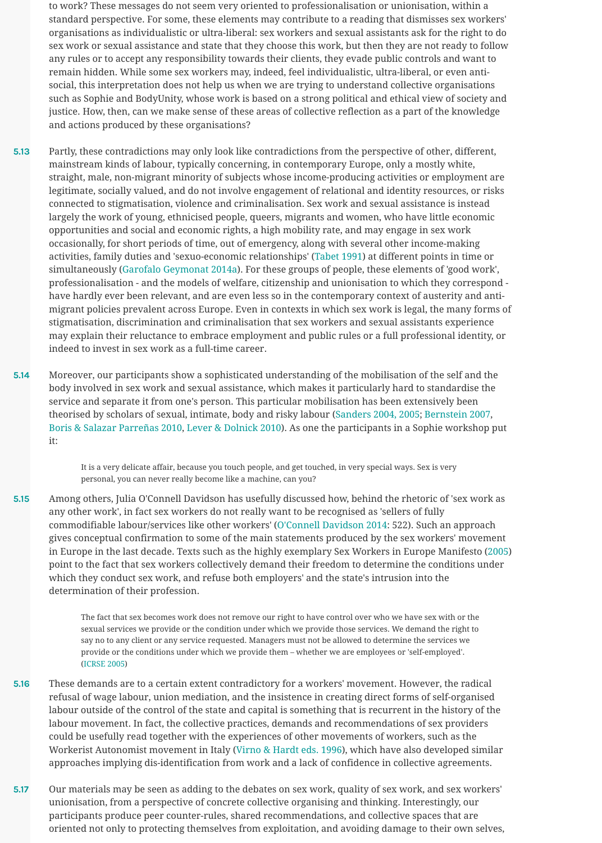to work? These messages do not seem very oriented to professionalisation or unionisation, within a standard perspective. For some, these elements may contribute to a reading that dismisses sex workers' organisations as individualistic or ultra-liberal: sex workers and sexual assistants ask for the right to do sex work or sexual assistance and state that they choose this work, but then they are not ready to follow any rules or to accept any responsibility towards their clients, they evade public controls and want to remain hidden. While some sex workers may, indeed, feel individualistic, ultra-liberal, or even antisocial, this interpretation does not help us when we are trying to understand collective organisations such as Sophie and BodyUnity, whose work is based on a strong political and ethical view of society and justice. How, then, can we make sense of these areas of collective reflection as a part of the knowledge and actions produced by these organisations?

- **5.13** Partly, these contradictions may only look like contradictions from the perspective of other, different, mainstream kinds of labour, typically concerning, in contemporary Europe, only a mostly white, straight, male, non-migrant minority of subjects whose income-producing activities or employment are legitimate, socially valued, and do not involve engagement of relational and identity resources, or risks connected to stigmatisation, violence and criminalisation. Sex work and sexual assistance is instead largely the work of young, ethnicised people, queers, migrants and women, who have little economic opportunities and social and economic rights, a high mobility rate, and may engage in sex work occasionally, for short periods of time, out of emergency, along with several other income-making activities, family duties and 'sexuo-economic relationships' [\(Tabet 1991](http://www.socresonline.org.uk/21/4/10.html#tabet1991)) at different points in time or simultaneously [\(Garofalo Geymonat 2014a](http://www.socresonline.org.uk/21/4/10.html#garofalo2014a)). For these groups of people, these elements of 'good work', professionalisation - and the models of welfare, citizenship and unionisation to which they correspond have hardly ever been relevant, and are even less so in the contemporary context of austerity and antimigrant policies prevalent across Europe. Even in contexts in which sex work is legal, the many forms of stigmatisation, discrimination and criminalisation that sex workers and sexual assistants experience may explain their reluctance to embrace employment and public rules or a full professional identity, or indeed to invest in sex work as a full-time career.
- **5.14** Moreover, our participants show a sophisticated understanding of the mobilisation of the self and the body involved in sex work and sexual assistance, which makes it particularly hard to standardise the service and separate it from one's person. This particular mobilisation has been extensively been theorised by scholars of sexual, intimate, body and risky labour [\(Sanders 2004, 2005](http://www.socresonline.org.uk/21/4/10.html#sanders2004); [Bernstein 2007,](http://www.socresonline.org.uk/21/4/10.html#bernstein2007) [Boris & Salazar Parreñas 2010](http://www.socresonline.org.uk/21/4/10.html#boris2010), [Lever & Dolnick 2010](http://www.socresonline.org.uk/21/4/10.html#lever2010)). As one the participants in a Sophie workshop put it:

It is a very delicate affair, because you touch people, and get touched, in very special ways. Sex is very personal, you can never really become like a machine, can you?

**5.15** Among others, Julia O'Connell Davidson has usefully discussed how, behind the rhetoric of 'sex work as any other work', in fact sex workers do not really want to be recognised as 'sellers of fully commodifiable labour/services like other workers' [\(O'Connell Davidson 2014](http://www.socresonline.org.uk/21/4/10.html#oconnell2014): 522). Such an approach gives conceptual confirmation to some of the main statements produced by the sex workers' movement in Europe in the last decade. Texts such as the highly exemplary Sex Workers in Europe Manifesto [\(2005\)](http://www.socresonline.org.uk/21/4/10.html#icrse2005) point to the fact that sex workers collectively demand their freedom to determine the conditions under which they conduct sex work, and refuse both employers' and the state's intrusion into the determination of their profession.

> The fact that sex becomes work does not remove our right to have control over who we have sex with or the sexual services we provide or the condition under which we provide those services. We demand the right to say no to any client or any service requested. Managers must not be allowed to determine the services we provide or the conditions under which we provide them – whether we are employees or 'self-employed'. [\(ICRSE 2005](http://www.socresonline.org.uk/21/4/10.html#icrse2005))

- **5.16** These demands are to a certain extent contradictory for a workers' movement. However, the radical refusal of wage labour, union mediation, and the insistence in creating direct forms of self-organised labour outside of the control of the state and capital is something that is recurrent in the history of the labour movement. In fact, the collective practices, demands and recommendations of sex providers could be usefully read together with the experiences of other movements of workers, such as the Workerist Autonomist movement in Italy [\(Virno & Hardt eds. 1996\)](http://www.socresonline.org.uk/21/4/10.html#virno1996), which have also developed similar approaches implying dis-identification from work and a lack of confidence in collective agreements.
- **5.17** Our materials may be seen as adding to the debates on sex work, quality of sex work, and sex workers' unionisation, from a perspective of concrete collective organising and thinking. Interestingly, our participants produce peer counter-rules, shared recommendations, and collective spaces that are oriented not only to protecting themselves from exploitation, and avoiding damage to their own selves,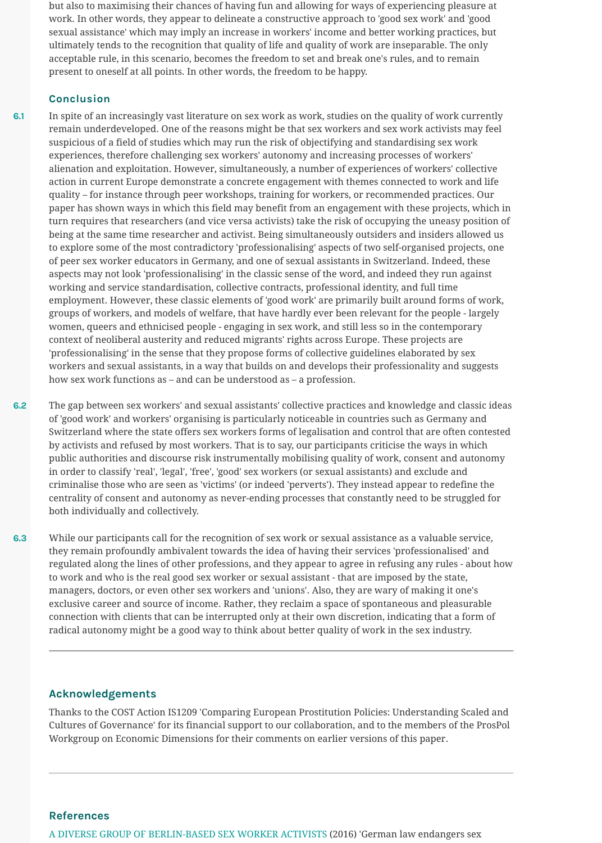but also to maximising their chances of having fun and allowing for ways of experiencing pleasure at work. In other words, they appear to delineate a constructive approach to 'good sex work' and 'good sexual assistance' which may imply an increase in workers' income and better working practices, but ultimately tends to the recognition that quality of life and quality of work are inseparable. The only acceptable rule, in this scenario, becomes the freedom to set and break one's rules, and to remain present to oneself at all points. In other words, the freedom to be happy.

## **Conclusion**

- **6.1** In spite of an increasingly vast literature on sex work as work, studies on the quality of work currently remain underdeveloped. One of the reasons might be that sex workers and sex work activists may feel suspicious of a field of studies which may run the risk of objectifying and standardising sex work experiences, therefore challenging sex workers' autonomy and increasing processes of workers' alienation and exploitation. However, simultaneously, a number of experiences of workers' collective action in current Europe demonstrate a concrete engagement with themes connected to work and life quality – for instance through peer workshops, training for workers, or recommended practices. Our paper has shown ways in which this field may benefit from an engagement with these projects, which in turn requires that researchers (and vice versa activists) take the risk of occupying the uneasy position of being at the same time researcher and activist. Being simultaneously outsiders and insiders allowed us to explore some of the most contradictory 'professionalising' aspects of two self-organised projects, one of peer sex worker educators in Germany, and one of sexual assistants in Switzerland. Indeed, these aspects may not look 'professionalising' in the classic sense of the word, and indeed they run against working and service standardisation, collective contracts, professional identity, and full time employment. However, these classic elements of 'good work' are primarily built around forms of work, groups of workers, and models of welfare, that have hardly ever been relevant for the people - largely women, queers and ethnicised people - engaging in sex work, and still less so in the contemporary context of neoliberal austerity and reduced migrants' rights across Europe. These projects are 'professionalising' in the sense that they propose forms of collective guidelines elaborated by sex workers and sexual assistants, in a way that builds on and develops their professionality and suggests how sex work functions as – and can be understood as – a profession.
- **6.2** The gap between sex workers' and sexual assistants' collective practices and knowledge and classic ideas of 'good work' and workers' organising is particularly noticeable in countries such as Germany and Switzerland where the state offers sex workers forms of legalisation and control that are often contested by activists and refused by most workers. That is to say, our participants criticise the ways in which public authorities and discourse risk instrumentally mobilising quality of work, consent and autonomy in order to classify 'real', 'legal', 'free', 'good' sex workers (or sexual assistants) and exclude and criminalise those who are seen as 'victims' (or indeed 'perverts'). They instead appear to redefine the centrality of consent and autonomy as never-ending processes that constantly need to be struggled for both individually and collectively.
- **6.3** While our participants call for the recognition of sex work or sexual assistance as a valuable service, they remain profoundly ambivalent towards the idea of having their services 'professionalised' and regulated along the lines of other professions, and they appear to agree in refusing any rules - about how to work and who is the real good sex worker or sexual assistant - that are imposed by the state, managers, doctors, or even other sex workers and 'unions'. Also, they are wary of making it one's exclusive career and source of income. Rather, they reclaim a space of spontaneous and pleasurable connection with clients that can be interrupted only at their own discretion, indicating that a form of radical autonomy might be a good way to think about better quality of work in the sex industry.

#### **Acknowledgements**

Thanks to the COST Action IS1209 'Comparing European Prostitution Policies: Understanding Scaled and Cultures of Governance' for its financial support to our collaboration, and to the members of the ProsPol Workgroup on Economic Dimensions for their comments on earlier versions of this paper.

#### **References**

A DIVERSE GROUP OF BERLIN-BASED SEX WORKER ACTIVISTS (2016) 'German law endangers sex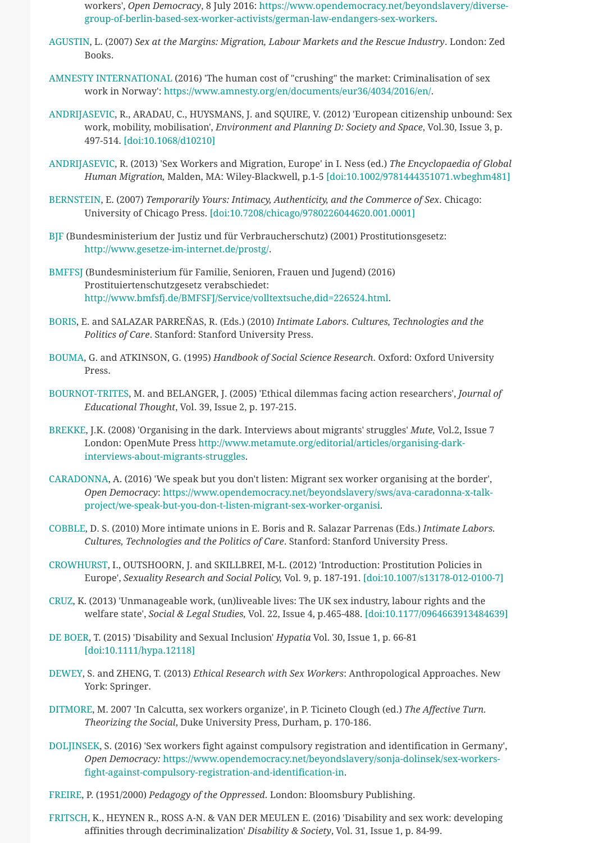workers', *Open Democracy*, 8 July 2016: https://www.opendemocracy.net/beyondslavery/diverse[group-of-berlin-based-sex-worker-activists/german-law-endangers-sex-workers.](https://www.opendemocracy.net/beyondslavery/diverse-group-of-berlin-based-sex-worker-activists/german-law-endangers-sex-workers)

- AGUSTIN, L. (2007) *Sex at the Margins: Migration, Labour Markets and the Rescue Industry*. London: Zed Books.
- AMNESTY INTERNATIONAL (2016) 'The human cost of "crushing" the market: Criminalisation of sex work in Norway': [https://www.amnesty.org/en/documents/eur36/4034/2016/en/.](https://www.amnesty.org/en/documents/eur36/4034/2016/en/)
- ANDRIJASEVIC, R., ARADAU, C., HUYSMANS, J. and SQUIRE, V. (2012) 'European citizenship unbound: Sex work, mobility, mobilisation', *Environment and Planning D: Society and Space*, Vol.30, Issue 3, p. 497-514. [\[doi:10.1068/d10210\]](https://doi.org/10.1068/d10210)
- ANDRIJASEVIC, R. (2013) 'Sex Workers and Migration, Europe' in I. Ness (ed.) *The Encyclopaedia of Global Human Migration,* Malden, MA: Wiley-Blackwell, p.1-5 [\[doi:10.1002/9781444351071.wbeghm481\]](https://doi.org/10.1002/9781444351071.wbeghm481)
- BERNSTEIN, E. (2007) *Temporarily Yours: Intimacy, Authenticity, and the Commerce of Sex*. Chicago: University of Chicago Press. [\[doi:10.7208/chicago/9780226044620.001.0001\]](https://doi.org/10.7208/chicago/9780226044620.001.0001)
- BJF (Bundesministerium der Justiz und für Verbraucherschutz) (2001) Prostitutionsgesetz: <http://www.gesetze-im-internet.de/prostg/>.
- BMFFSJ (Bundesministerium für Familie, Senioren, Frauen und Jugend) (2016) Prostituiertenschutzgesetz verabschiedet: [http://www.bmfsfj.de/BMFSFJ/Service/volltextsuche,did=226524.html.](http://www.bmfsfj.de/BMFSFJ/Service/volltextsuche,did=226524.html)
- BORIS, E. and SALAZAR PARREÑAS, R. (Eds.) (2010) *Intimate Labors. Cultures, Technologies and the Politics of Care*. Stanford: Stanford University Press.
- BOUMA, G. and ATKINSON, G. (1995) *Handbook of Social Science Research*. Oxford: Oxford University Press.
- BOURNOT-TRITES, M. and BELANGER, J. (2005) 'Ethical dilemmas facing action researchers', *Journal of Educational Thought*, Vol. 39, Issue 2, p. 197-215.
- BREKKE, J.K. (2008) 'Organising in the dark. Interviews about migrants' struggles' *Mute,* Vol.2, Issue 7 [London: OpenMute Press http://www.metamute.org/editorial/articles/organising-dark](http://www.metamute.org/editorial/articles/organising-dark-interviews-about-migrants-struggles)interviews-about-migrants-struggles.
- CARADONNA, A. (2016) 'We speak but you don't listen: Migrant sex worker organising at the border', *Open Democracy*[: https://www.opendemocracy.net/beyondslavery/sws/ava-caradonna-x-talk](https://www.opendemocracy.net/beyondslavery/sws/ava-caradonna-x-talk-project/we-speak-but-you-don-t-listen-migrant-sex-worker-organisi)project/we-speak-but-you-don-t-listen-migrant-sex-worker-organisi.
- COBBLE, D. S. (2010) More intimate unions in E. Boris and R. Salazar Parrenas (Eds.) *Intimate Labors. Cultures, Technologies and the Politics of Care*. Stanford: Stanford University Press.
- CROWHURST, I., OUTSHOORN, J. and SKILLBREI, M-L. (2012) 'Introduction: Prostitution Policies in Europe', *Sexuality Research and Social Policy,* Vol. 9, p. 187-191. [\[doi:10.1007/s13178-012-0100-7\]](https://doi.org/10.1007/s13178-012-0100-7)
- CRUZ, K. (2013) 'Unmanageable work, (un)liveable lives: The UK sex industry, labour rights and the welfare state', *Social & Legal Studies,* Vol. 22, Issue 4, p.465-488. [\[doi:10.1177/0964663913484639\]](https://doi.org/10.1177/0964663913484639)
- DE BOER, T. (2015) 'Disability and Sexual Inclusion' *Hypatia* Vol. 30, Issue 1, p. 66-81 [\[doi:10.1111/hypa.12118\]](https://doi.org/10.1111/hypa.12118)
- DEWEY, S. and ZHENG, T. (2013) *Ethical Research with Sex Workers*: Anthropological Approaches. New York: Springer.
- DITMORE, M. 2007 'In Calcutta, sex workers organize', in P. Ticineto Clough (ed.) *The Affective Turn. Theorizing the Social*, Duke University Press, Durham, p. 170-186.
- DOLJINSEK, S. (2016) 'Sex workers fight against compulsory registration and identification in Germany', *Open Democracy:* [https://www.opendemocracy.net/beyondslavery/sonja-dolinsek/sex-workers](https://www.opendemocracy.net/beyondslavery/sonja-dolinsek/sex-workers-fight-against-compulsory-registration-and-identification-in)fight-against-compulsory-registration-and-identification-in.
- FREIRE, P. (1951/2000) *Pedagogy of the Oppressed*. London: Bloomsbury Publishing.
- FRITSCH, K., HEYNEN R., ROSS A-N. & VAN DER MEULEN E. (2016) 'Disability and sex work: developing affinities through decriminalization' *Disability & Society*, Vol. 31, Issue 1, p. 84-99.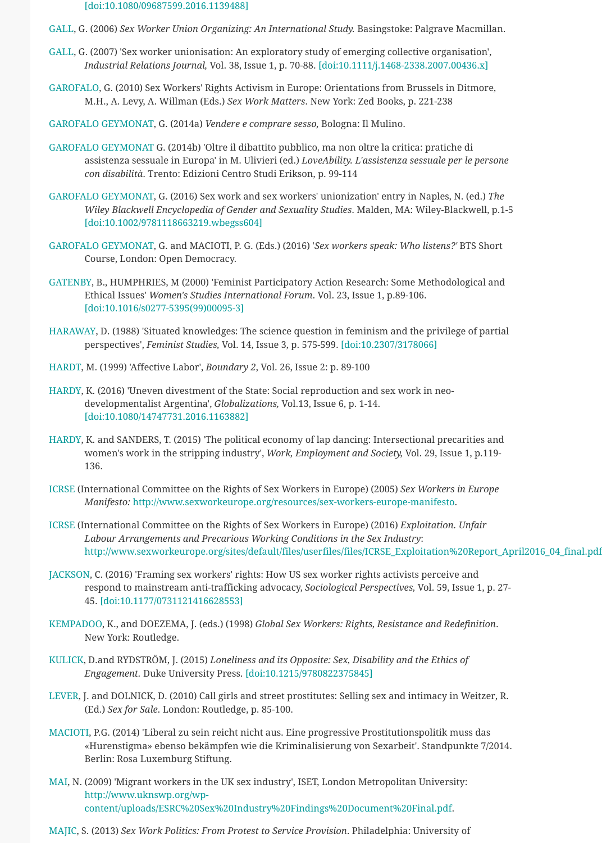[\[doi:10.1080/09687599.2016.1139488\]](https://doi.org/10.1080/09687599.2016.1139488)

- GALL, G. (2006) *Sex Worker Union Organizing: An International Study.* Basingstoke: Palgrave Macmillan.
- GALL, G. (2007) 'Sex worker unionisation: An exploratory study of emerging collective organisation', *Industrial Relations Journal,* Vol. 38, Issue 1, p. 70-88. [\[doi:10.1111/j.1468-2338.2007.00436.x\]](https://doi.org/10.1111/j.1468-2338.2007.00436.x)
- GAROFALO, G. (2010) Sex Workers' Rights Activism in Europe: Orientations from Brussels in Ditmore, M.H., A. Levy, A. Willman (Eds.) *Sex Work Matters*. New York: Zed Books, p. 221-238
- GAROFALO GEYMONAT, G. (2014a) *Vendere e comprare sesso,* Bologna: Il Mulino.
- GAROFALO GEYMONAT G. (2014b) 'Oltre il dibattito pubblico, ma non oltre la critica: pratiche di assistenza sessuale in Europa' in M. Ulivieri (ed.) *LoveAbility. L'assistenza sessuale per le persone con disabilità*. Trento: Edizioni Centro Studi Erikson, p. 99-114
- GAROFALO GEYMONAT, G. (2016) Sex work and sex workers' unionization' entry in Naples, N. (ed.) *The Wiley Blackwell Encyclopedia of Gender and Sexuality Studies*. Malden, MA: Wiley-Blackwell, p.1-5 [\[doi:10.1002/9781118663219.wbegss604\]](https://doi.org/10.1002/9781118663219.wbegss604)
- GAROFALO GEYMONAT, G. and MACIOTI, P. G. (Eds.) (2016) '*Sex workers speak: Who listens?'* BTS Short Course, London: Open Democracy.
- GATENBY, B., HUMPHRIES, M (2000) 'Feminist Participatory Action Research: Some Methodological and Ethical Issues' *Women's Studies International Forum*. Vol. 23, Issue 1, p.89-106. [\[doi:10.1016/s0277-5395\(99\)00095-3\]](https://doi.org/10.1016/s0277-5395(99)00095-3)
- HARAWAY, D. (1988) 'Situated knowledges: The science question in feminism and the privilege of partial perspectives', *Feminist Studies,* Vol. 14, Issue 3, p. 575-599. [\[doi:10.2307/3178066\]](https://doi.org/10.2307/3178066)
- HARDT, M. (1999) 'Affective Labor', *Boundary 2*, Vol. 26, Issue 2: p. 89-100
- HARDY, K. (2016) 'Uneven divestment of the State: Social reproduction and sex work in neodevelopmentalist Argentina', *Globalizations,* Vol.13, Issue 6, p. 1-14. [\[doi:10.1080/14747731.2016.1163882\]](https://doi.org/10.1080/14747731.2016.1163882)
- HARDY, K. and SANDERS, T. (2015) 'The political economy of lap dancing: Intersectional precarities and women's work in the stripping industry', *Work, Employment and Society,* Vol. 29, Issue 1, p.119- 136.
- ICRSE (International Committee on the Rights of Sex Workers in Europe) (2005) *Sex Workers in Europe Manifesto:* <http://www.sexworkeurope.org/resources/sex-workers-europe-manifesto>.
- ICRSE (International Committee on the Rights of Sex Workers in Europe) (2016) *Exploitation. Unfair Labour Arrangements and Precarious Working Conditions in the Sex Industry*: [http://www.sexworkeurope.org/sites/default/files/userfiles/files/ICRSE\\_Exploitation%20Report\\_April2016\\_04\\_final.pdf](http://www.sexworkeurope.org/sites/default/files/userfiles/files/ICRSE_Exploitation%20Report_April2016_04_final.pdf)
- JACKSON, C. (2016) 'Framing sex workers' rights: How US sex worker rights activists perceive and respond to mainstream anti-trafficking advocacy, *Sociological Perspectives,* Vol. 59, Issue 1, p. 27- 45. [\[doi:10.1177/0731121416628553\]](https://doi.org/10.1177/0731121416628553)
- KEMPADOO, K., and DOEZEMA, J. (eds.) (1998) *Global Sex Workers: Rights, Resistance and Redefinition*. New York: Routledge.
- KULICK, D.and RYDSTRÖM, J. (2015) *Loneliness and its Opposite: Sex, Disability and the Ethics of Engagement.* Duke University Press. [\[doi:10.1215/9780822375845\]](https://doi.org/10.1215/9780822375845)
- LEVER, J. and DOLNICK, D. (2010) Call girls and street prostitutes: Selling sex and intimacy in Weitzer, R. (Ed.) *Sex for Sale*. London: Routledge, p. 85-100.
- MACIOTI, P.G. (2014) 'Liberal zu sein reicht nicht aus. Eine progressive Prostitutionspolitik muss das «Hurenstigma» ebenso bekämpfen wie die Kriminalisierung von Sexarbeit'. Standpunkte 7/2014. Berlin: Rosa Luxemburg Stiftung.
- MAI, N. (2009) 'Migrant workers in the UK sex industry', ISET, London Metropolitan University: http://www.uknswp.org/wp[content/uploads/ESRC%20Sex%20Industry%20Findings%20Document%20Final.pdf.](http://www.uknswp.org/wp-content/uploads/ESRC%20Sex%20Industry%20Findings%20Document%20Final.pdf)
- MAJIC, S. (2013) *Sex Work Politics: From Protest to Service Provision*. Philadelphia: University of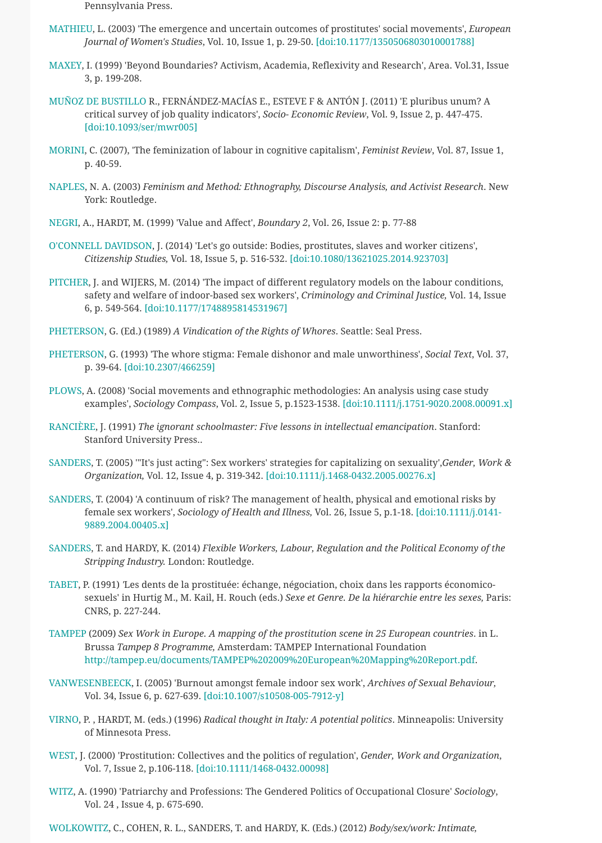Pennsylvania Press.

- MATHIEU, L. (2003) 'The emergence and uncertain outcomes of prostitutes' social movements', *European Journal of Women's Studies*, Vol. 10, Issue 1, p. 29-50. [\[doi:10.1177/1350506803010001788\]](https://doi.org/10.1177/1350506803010001788)
- MAXEY, I. (1999) 'Beyond Boundaries? Activism, Academia, Reflexivity and Research', Area. Vol.31, Issue 3, p. 199-208.
- MUÑOZ DE BUSTILLO R., FERNÁNDEZ-MACÍAS E., ESTEVE F & ANTÓN J. (2011) 'E pluribus unum? A critical survey of job quality indicators', *Socio- Economic Review*, Vol. 9, Issue 2, p. 447-475. [\[doi:10.1093/ser/mwr005\]](https://doi.org/10.1093/ser/mwr005)
- MORINI, C. (2007), 'The feminization of labour in cognitive capitalism', *Feminist Review*, Vol. 87, Issue 1, p. 40-59.
- NAPLES, N. A. (2003) *Feminism and Method: Ethnography, Discourse Analysis, and Activist Research*. New York: Routledge.
- NEGRI, A., HARDT, M. (1999) 'Value and Affect', *Boundary 2*, Vol. 26, Issue 2: p. 77-88
- O'CONNELL DAVIDSON, J. (2014) 'Let's go outside: Bodies, prostitutes, slaves and worker citizens', *Citizenship Studies,* Vol. 18, Issue 5, p. 516-532. [\[doi:10.1080/13621025.2014.923703\]](https://doi.org/10.1080/13621025.2014.923703)
- PITCHER, J. and WIJERS, M. (2014) 'The impact of different regulatory models on the labour conditions, safety and welfare of indoor-based sex workers', *Criminology and Criminal Justice,* Vol. 14, Issue 6, p. 549-564. [\[doi:10.1177/1748895814531967\]](https://doi.org/10.1177/1748895814531967)
- PHETERSON, G. (Ed.) (1989) *A Vindication of the Rights of Whores*. Seattle: Seal Press.
- PHETERSON, G. (1993) 'The whore stigma: Female dishonor and male unworthiness', *Social Text*, Vol. 37, p. 39-64. [\[doi:10.2307/466259\]](https://doi.org/10.2307/466259)
- PLOWS, A. (2008) 'Social movements and ethnographic methodologies: An analysis using case study examples', *Sociology Compass*, Vol. 2, Issue 5, p.1523-1538. [\[doi:10.1111/j.1751-9020.2008.00091.x\]](https://doi.org/10.1111/j.1751-9020.2008.00091.x)
- RANCIÈRE, J. (1991) *The ignorant schoolmaster: Five lessons in intellectual emancipation*. Stanford: Stanford University Press..
- SANDERS, T. (2005) '"It's just acting": Sex workers' strategies for capitalizing on sexuality',*Gender, Work & Organization,* Vol. 12, Issue 4, p. 319-342. [\[doi:10.1111/j.1468-0432.2005.00276.x\]](https://doi.org/10.1111/j.1468-0432.2005.00276.x)
- SANDERS, T. (2004) 'A continuum of risk? The management of health, physical and emotional risks by female sex workers', *Sociology of Health and Illness,* [Vol. 26, Issue 5, p.1-18. \[doi:10.1111/j.0141-](https://doi.org/10.1111/j.0141-9889.2004.00405.x) 9889.2004.00405.x]
- SANDERS, T. and HARDY, K. (2014) *Flexible Workers, Labour, Regulation and the Political Economy of the Stripping Industry.* London: Routledge.
- TABET, P. (1991) *'*Les dents de la prostituée: échange, négociation, choix dans les rapports économicosexuels' in Hurtig M., M. Kail, H. Rouch (eds.) *Sexe et Genre. De la hiérarchie entre les sexes,* Paris: CNRS, p. 227-244.
- TAMPEP (2009) *Sex Work in Europe. A mapping of the prostitution scene in 25 European countries*. in L. Brussa *Tampep 8 Programme,* Amsterdam: TAMPEP International Foundation [http://tampep.eu/documents/TAMPEP%202009%20European%20Mapping%20Report.pdf.](http://tampep.eu/documents/TAMPEP%202009%20European%20Mapping%20Report.pdf)
- VANWESENBEECK, I. (2005) 'Burnout amongst female indoor sex work', *Archives of Sexual Behaviour,* Vol. 34, Issue 6, p. 627-639. [\[doi:10.1007/s10508-005-7912-y\]](https://doi.org/10.1007/s10508-005-7912-y)
- VIRNO, P. , HARDT, M. (eds.) (1996) *Radical thought in Italy: A potential politics*. Minneapolis: University of Minnesota Press.
- WEST, J. (2000) 'Prostitution: Collectives and the politics of regulation', *Gender, Work and Organization*, Vol. 7, Issue 2, p.106-118. [\[doi:10.1111/1468-0432.00098\]](https://doi.org/10.1111/1468-0432.00098)
- WITZ, A. (1990) 'Patriarchy and Professions: The Gendered Politics of Occupational Closure' *Sociology*, Vol. 24 , Issue 4, p. 675-690.
- WOLKOWITZ, C., COHEN, R. L., SANDERS, T. and HARDY, K. (Eds.) (2012) *Body/sex/work: Intimate,*